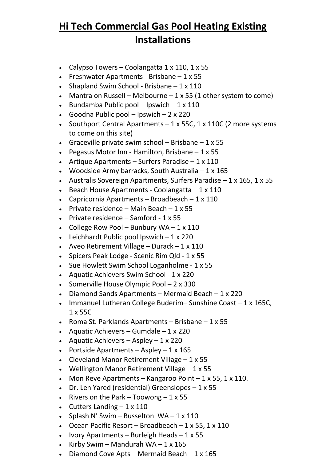## **Hi Tech Commercial Gas Pool Heating Existing Installations**

- Calypso Towers Coolangatta  $1 \times 110$ ,  $1 \times 55$
- Freshwater Apartments Brisbane  $-1 \times 55$
- Shapland Swim School Brisbane  $-1 \times 110$
- Mantra on Russell Melbourne  $1 \times 55$  (1 other system to come)
- Bundamba Public pool Ipswich  $1 \times 110$
- Goodna Public pool Ipswich  $2 \times 220$
- Southport Central Apartments  $-1 \times 55C$ , 1 x 110C (2 more systems to come on this site)
- Graceville private swim school Brisbane  $1 \times 55$
- Pegasus Motor Inn Hamilton, Brisbane  $-1 \times 55$
- Artique Apartments Surfers Paradise  $1 \times 110$
- Woodside Army barracks, South Australia  $-1 \times 165$
- Australis Sovereign Apartments, Surfers Paradise  $-1 \times 165$ , 1  $\times 55$
- Beach House Apartments Coolangatta  $-1 \times 110$
- Capricornia Apartments Broadbeach  $1 \times 110$
- Private residence Main Beach  $1 \times 55$
- Private residence  $-$  Samford 1 x 55
- College Row Pool Bunbury WA  $1 \times 110$
- Leichhardt Public pool Ipswich  $-1 \times 220$
- Aveo Retirement Village Durack  $1 \times 110$
- Spicers Peak Lodge Scenic Rim Qld 1 x 55
- Sue Howlett Swim School Loganholme 1 x 55
- Aquatic Achievers Swim School 1 x 220
- Somerville House Olympic Pool 2 x 330
- Diamond Sands Apartments Mermaid Beach  $1 \times 220$
- Immanuel Lutheran College Buderim-Sunshine Coast 1 x 165C, 1 x 55C
- Roma St. Parklands Apartments Brisbane  $1 \times 55$
- Aquatic Achievers Gumdale  $1 \times 220$
- Aquatic Achievers Aspley  $1 \times 220$
- Portside Apartments Aspley  $1 \times 165$
- Cleveland Manor Retirement Village 1 x 55
- Wellington Manor Retirement Village 1 x 55
- Mon Reve Apartments Kangaroo Point  $1 \times 55$ ,  $1 \times 110$ .
- Dr. Len Yared (residential) Greenslopes 1 x 55
- Rivers on the Park Toowong  $1 \times 55$
- Cutters Landing  $-1 \times 110$
- Splash N' Swim Busselton  $WA 1 \times 110$
- Ocean Pacific Resort Broadbeach  $1 \times 55$ ,  $1 \times 110$
- Ivory Apartments Burleigh Heads  $1 \times 55$
- Kirby Swim Mandurah WA  $1 \times 165$
- Diamond Cove Apts Mermaid Beach  $1 \times 165$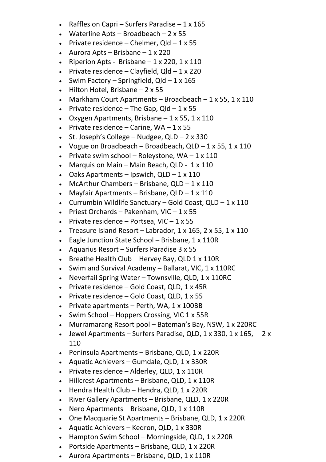- Raffles on Capri Surfers Paradise  $1 \times 165$
- Waterline Apts Broadbeach  $2 \times 55$
- Private residence Chelmer,  $Q$ ld  $1 \times 55$
- Aurora Apts Brisbane  $1 \times 220$
- Riperion Apts Brisbane  $-1 \times 220$ ,  $1 \times 110$
- Private residence Clayfield,  $Q$ ld 1 x 220
- Swim Factory Springfield,  $Q$ ld 1 x 165
- Hilton Hotel, Brisbane  $-2 \times 55$
- Markham Court Apartments Broadbeach  $1 \times 55$ ,  $1 \times 110$
- Private residence The Gap,  $Q$ ld  $1 \times 55$
- Oxygen Apartments, Brisbane  $-1 \times 55$ ,  $1 \times 110$
- Private residence Carine,  $WA 1 \times 55$
- St. Joseph's College Nudgee,  $QLD 2 \times 330$
- Vogue on Broadbeach Broadbeach, QLD  $1 \times 55$ ,  $1 \times 110$
- Private swim school Roleystone,  $WA 1 \times 110$
- Marquis on Main Main Beach, QLD 1 x 110
- Oaks Apartments Ipswich,  $QLD 1 \times 110$
- McArthur Chambers Brisbane,  $QLD 1 \times 110$
- Mayfair Apartments Brisbane, QLD  $1 \times 110$
- Currumbin Wildlife Sanctuary Gold Coast,  $QLD 1 \times 110$
- Priest Orchards Pakenham, VIC  $1 \times 55$
- Private residence Portsea, VIC  $1 \times 55$
- Treasure Island Resort Labrador,  $1 \times 165$ ,  $2 \times 55$ ,  $1 \times 110$
- Eagle Junction State School Brisbane, 1 x 110R
- Aquarius Resort Surfers Paradise 3 x 55
- Breathe Health Club Hervey Bay, QLD  $1 \times 110R$
- Swim and Survival Academy Ballarat, VIC, 1 x 110RC
- Neverfail Spring Water Townsville, QLD, 1 x 110RC
- Private residence Gold Coast, QLD, 1 x 45R
- Private residence Gold Coast, QLD, 1 x 55
- Private apartments Perth, WA,  $1 \times 100BB$
- Swim School Hoppers Crossing, VIC 1 x 55R
- Murramarang Resort pool Bateman's Bay, NSW, 1 x 220RC
- Jewel Apartments Surfers Paradise, QLD,  $1 \times 330$ ,  $1 \times 165$ ,  $2 \times$ 110
- Peninsula Apartments Brisbane, QLD, 1 x 220R
- Aquatic Achievers Gumdale, QLD, 1 x 330R
- Private residence Alderley, QLD, 1 x 110R
- Hillcrest Apartments Brisbane, QLD, 1 x 110R
- Hendra Health Club Hendra, QLD, 1 x 220R
- River Gallery Apartments Brisbane, QLD, 1 x 220R
- Nero Apartments Brisbane, QLD, 1 x 110R
- One Macquarie St Apartments Brisbane, QLD, 1 x 220R
- Aquatic Achievers Kedron, QLD, 1 x 330R
- Hampton Swim School Morningside, QLD, 1 x 220R
- Portside Apartments Brisbane, QLD, 1 x 220R
- Aurora Apartments Brisbane, QLD, 1 x 110R
-